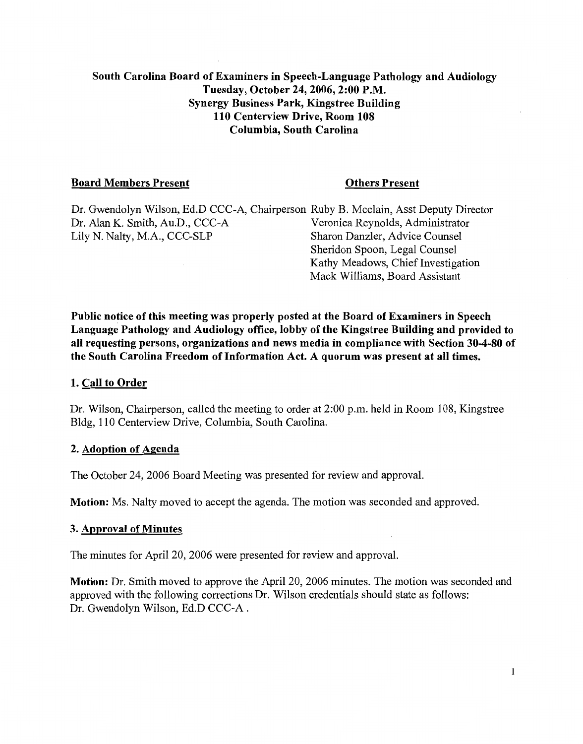# South Carolina Board of Examiners in Speech-Language Pathology and Audiology Tuesday, October 24, 2006, 2:00 P.M. **Synergy Business Park, Kingstree Building** 110 Centerview Drive. Room 108 Columbia, South Carolina

## **Board Members Present**

#### **Others Present**

Kathy Meadows, Chief Investigation Mack Williams, Board Assistant

Dr. Gwendolyn Wilson, Ed.D CCC-A, Chairperson Ruby B. Mcclain, Asst Deputy Director Dr. Alan K. Smith, Au.D., CCC-A Veronica Revnolds, Administrator Lily N. Nalty, M.A., CCC-SLP Sharon Danzler, Advice Counsel Sheridon Spoon, Legal Counsel

Public notice of this meeting was properly posted at the Board of Examiners in Speech Language Pathology and Audiology office, lobby of the Kingstree Building and provided to all requesting persons, organizations and news media in compliance with Section 30-4-80 of the South Carolina Freedom of Information Act. A quorum was present at all times.

## 1. Call to Order

Dr. Wilson, Chairperson, called the meeting to order at 2:00 p.m. held in Room 108, Kingstree Bldg, 110 Centerview Drive, Columbia, South Carolina.

## 2. Adoption of Agenda

The October 24, 2006 Board Meeting was presented for review and approval.

**Motion:** Ms. Nalty moved to accept the agenda. The motion was seconded and approved.

## **3. Approval of Minutes**

The minutes for April 20, 2006 were presented for review and approval.

Motion: Dr. Smith moved to approve the April 20, 2006 minutes. The motion was seconded and approved with the following corrections Dr. Wilson credentials should state as follows: Dr. Gwendolyn Wilson, Ed.D CCC-A.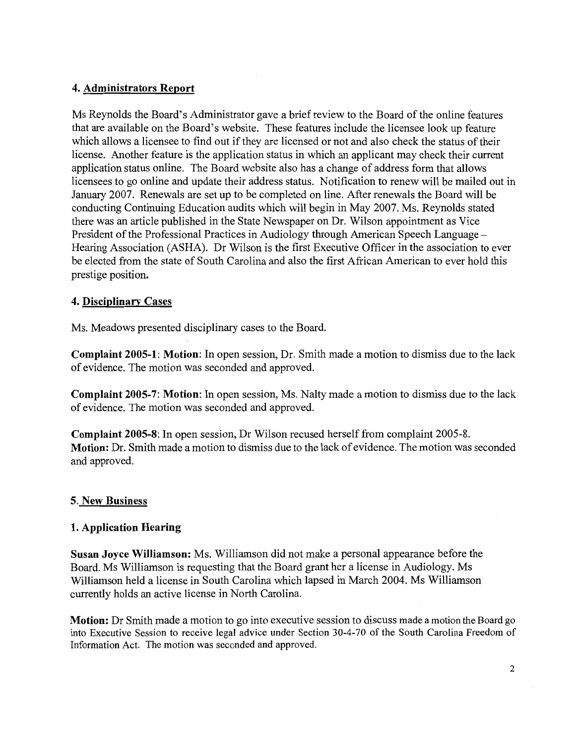# 4. Administrators Report

Ms Reynolds the Board's Administrator gave a brief review to the Board of the online features that are available on the Board's website. These features include the licensee look up feature which allows a licensee to find out if they are licensed or not and also check the status of their license. Another feature is the application status in which an applicant may check their current application status online. The Board website also has a change of address form that allows licensees to go online and update their address status. Notification to renew will be mailed out in January 2007. Renewals are set up to be completed on line. After renewals the Board will be conducting Continuing Education audits which will begin in May 2007. Ms. Reynolds stated there was an article published in the State Newspaper on Dr. Wilson appointment as Vice President of the Professional Practices in Audiology through American Speech Language – Hearing Association (ASHA). Dr Wilson is the first Executive Officer in the association to ever be elected from the state of South Carolina and also the first African American to ever hold this prestige position.

# 4. Disciplinary Cases

Ms. Meadows presented disciplinary cases to the Board.

**Complaint 2005-1: Motion:** In open session, Dr. Smith made a motion to dismiss due to the lack of evidence. The motion was seconded and approved.

**Complaint 2005-7: Motion:** In open session, Ms. Nalty made a motion to dismiss due to the lack of evidence. The motion was seconded and approved.

**Complaint 2005-8:** In open session, Dr Wilson recused herself from complaint 2005-8. Motion: Dr. Smith made a motion to dismiss due to the lack of evidence. The motion was seconded and approved.

# 5. New Business

# 1. Application Hearing

Susan Joyce Williamson: Ms. Williamson did not make a personal appearance before the Board. Ms Williamson is requesting that the Board grant her a license in Audiology. Ms Williamson held a license in South Carolina which lapsed in March 2004. Ms Williamson currently holds an active license in North Carolina.

**Motion:** Dr Smith made a motion to go into executive session to discuss made a motion the Board go into Executive Session to receive legal advice under Section 30-4-70 of the South Carolina Freedom of Information Act. The motion was seconded and approved.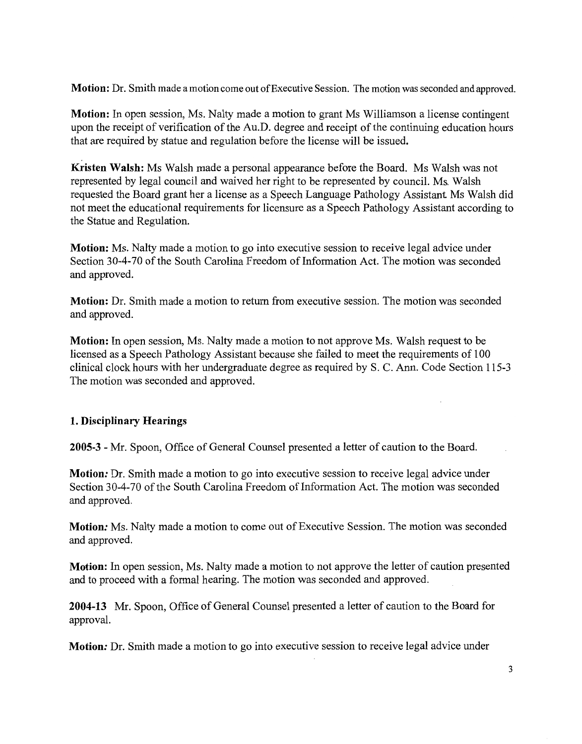Motion: Dr. Smith made a motion come out of Executive Session. The motion was seconded and approved.

Motion: In open session, Ms. Nalty made a motion to grant Ms Williamson a license contingent upon the receipt of verification of the Au.D. degree and receipt of the continuing education hours that are required by statue and regulation before the license will be issued.

Kristen Walsh: Ms Walsh made a personal appearance before the Board. Ms Walsh was not represented by legal council and waived her right to be represented by council. Ms. Walsh requested the Board grant her a license as a Speech Language Pathology Assistant. Ms Walsh did not meet the educational requirements for licensure as a Speech Pathology Assistant according to the Statue and Regulation.

**Motion:** Ms. Nalty made a motion to go into executive session to receive legal advice under Section 30-4-70 of the South Carolina Freedom of Information Act. The motion was seconded and approved.

Motion: Dr. Smith made a motion to return from executive session. The motion was seconded and approved.

**Motion:** In open session, Ms. Nalty made a motion to not approve Ms. Walsh request to be licensed as a Speech Pathology Assistant because she failed to meet the requirements of 100 clinical clock hours with her undergraduate degree as required by S. C. Ann. Code Section 115-3 The motion was seconded and approved.

# 1. Disciplinary Hearings

2005-3 - Mr. Spoon, Office of General Counsel presented a letter of caution to the Board.

**Motion:** Dr. Smith made a motion to go into executive session to receive legal advice under Section 30-4-70 of the South Carolina Freedom of Information Act. The motion was seconded and approved.

Motion: Ms. Nalty made a motion to come out of Executive Session. The motion was seconded and approved.

**Motion:** In open session, Ms. Nalty made a motion to not approve the letter of caution presented and to proceed with a formal hearing. The motion was seconded and approved.

2004-13 Mr. Spoon, Office of General Counsel presented a letter of caution to the Board for approval.

Motion: Dr. Smith made a motion to go into executive session to receive legal advice under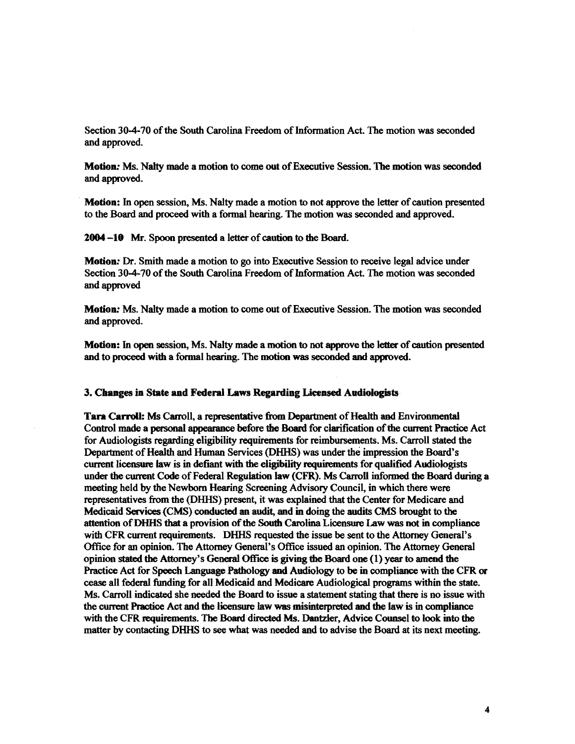Section **30-4-70** of the South Carolina Freedom of Information Act. The motion was seconded and approved.

**Motion: Ms. Nalty** made a motion to come out of Executive Session. The motion was seconded and approved.

**Motion:** In open session, Ms. Nalty made a motion to not approve the letter of caution presented to the Board and proceed with a formal hearing. The motion was seconded and approved.

2004 -10 Mr. Spoon presented a letter of **caution** to the Board.

**Motion: Dr.** Smith made a motion to go into Executive Session to receive legal advice under Section **30-4-70** of the South Carolina Freedom of Information Act. The motion was seconded and approved

**Motion:** Ms. Nalty made a motion to come out of Executive Session. The motion was seconded and approved.

**Motion:** In open session, Ms. Nalty made a motion to not approve the letter of caution presented and to proceed with a formal hearing. The motion was **seconded** and approved.

#### **3. Changes in State and Federal .Laws Regarding Licensed Audiologists**

**Tara Carroll:** Ms Carroll, a representative from Department of Health and Environmental Control made a personal appearance before the Board for clarification of the current Practice Act for Audiologists regarding eligibility requirements for reimbursements. Ms. Carroll stated the Department of Health and Human Services (DHHS) was under the impression the Board's current licensure law is in defiant with the eligibility requirements for qualified Audiologists under the current Code of Federal Regulation law (CFR). Ms Carroll informed the Board during a meeting held by the Newborn Hearing Screening Advisory Council, in which there were representatives from the (DHHS) present, it was explained that the Center for Medicare and Medicaid Services (CMS) conducted an audit, and in doing the audits CMS brought to the attention of DHHS that a provision of **the South** Carolina Licensure Law **was** not in compliance with CFR current requirements. DHHS requested the issue be sent to the Attorney General's Office for an opinion. The Attorney General's Office issued an opinion. The Attorney General opinion stated the Attorney's General Office is giving the Board one (1) year to amend the Practice Act for Speech Language Pathology and Audiology to be in compliance with the CFR or cease all federal **funding** for all Medicaid and Medicare Audiological programs within the state. Ms. Carroll indicated she needed the Board to issue a statement stating that there is no issue with the current Practice Act and the licensure law was misinterpreted and the law is in compliance with the CFR requirements. The Board directed Ms. Dantzler, Advice Counsel to look into the matter by contacting DHHS to **see** what was needed and to advise the Board at its next meeting.